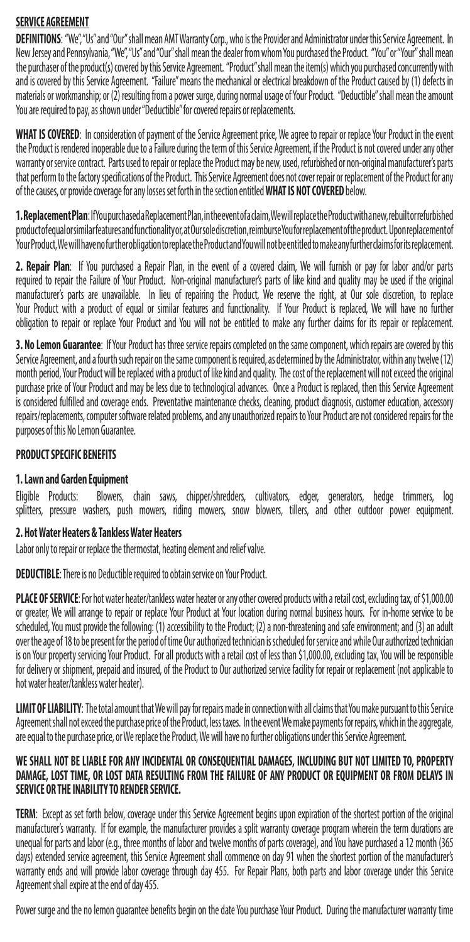# **SERVICE AGREEMENT**

DEFINITIONS: "We","Us" and "Our" shall mean AMT Warranty Corp., who is the Provider and Administrator under this Service Agreement. In New Jersey and Pennsylvania, "We", "Us" and "Our" shall mean the dealer from whom You purchased the Product. "You" or "Your" shall mean the purchaser of the product(s) covered by this Service Agreement. "Product" shall mean the item(s) which you purchased concurrently with and is covered by this Service Agreement. "Failure" means the mechanical or electrical breakdown of the Product caused by (1) defects in materials or workmanship; or (2) resulting from a power surge, during normal usage of Your Product. "Deductible" shall mean the amount You are required to pay, as shown under "Deductible" for covered repairs or replacements.

**WHAT IS COVERED**: In consideration of payment of the Service Agreement price, We agree to repair or replace Your Product in the event the Product is rendered inoperable due to a Failure during the term of this Service Agreement, if the Product is not covered under any other warranty or service contract. Parts used to repair or replace the Product may be new, used, refurbished or non-original manufacturer's parts that perform to the factory specifications of the Product. This Service Agreement does not cover repair or replacement of the Product for any of the causes, or provide coverage for any losses set forth in the section entitled **WHAT IS NOT COVERED** below.

**1. Replacement Plan**: If You purchased a Replacement Plan, in the event of a claim, We will replace the Product with a new, rebuilt or refurbished product of equal or similar features and functionality or, at Our sole discretion, reimburse You for replacement of the product. Upon replacement of Your Product, We will have no further obligation to replace the Product and You will not be entitled to make any further claims for its replacement.

**2. Repair Plan**: If You purchased a Repair Plan, in the event of a covered claim, We will furnish or pay for labor and/or parts required to repair the Failure of Your Product. Non-original manufacturer's parts of like kind and quality may be used if the original manufacturer's parts are unavailable. In lieu of repairing the Product, We reserve the right, at Our sole discretion, to replace Your Product with a product of equal or similar features and functionality. If Your Product is replaced, We will have no further obligation to repair or replace Your Product and You will not be entitled to make any further claims for its repair or replacement.

**3. No Lemon Guarantee**: If Your Product has three service repairs completed on the same component, which repairs are covered by this Service Agreement, and a fourth such repair on the same component is required, as determined by the Administrator, within any twelve (12) month period, Your Product will be replaced with a product of like kind and quality. The cost of the replacement will not exceed the original purchase price of Your Product and may be less due to technological advances. Once a Product is replaced, then this Service Agreement is considered fulfilled and coverage ends. Preventative maintenance checks, cleaning, product diagnosis, customer education, accessory repairs/replacements, computer software related problems, and any unauthorized repairs to Your Product are not considered repairs for the purposes of this No Lemon Guarantee.

### **PRODUCT SPECIFIC BENEFITS**

## **1. Lawn and Garden Equipment**

Eligible Products: Blowers, chain saws, chipper/shredders, cultivators, edger, generators, hedge trimmers, log splitters, pressure washers, push mowers, riding mowers, snow blowers, tillers, and other outdoor power equipment.

#### **2. Hot Water Heaters & Tankless Water Heaters**

Labor only to repair or replace the thermostat, heating element and relief valve.

**DEDUCTIBLE**: There is no Deductible required to obtain service on Your Product.

PLACE OF SERVICE: For hot water heater/tankless water heater or any other covered products with a retail cost, excluding tax, of \$1,000.00 or greater, We will arrange to repair or replace Your Product at Your location during normal business hours. For in-home service to be scheduled, You must provide the following: (1) accessibility to the Product; (2) a non-threatening and safe environment; and (3) an adult over the age of 18 to be present for the period of time Our authorized technician is scheduled for service and while Our authorized technician is on Your property servicing Your Product. For all products with a retail cost of less than \$1,000.00, excluding tax, You will be responsible for delivery or shipment, prepaid and insured, of the Product to Our authorized service facility for repair or replacement (not applicable to hot water heater/tankless water heater).

**LIMIT OF LIABILITY**: The total amount that We will pay for repairs made in connection with all claims that You make pursuant to this Service Agreement shall not exceed the purchase price of the Product, less taxes. In the event We make payments for repairs, which in the aggregate, are equal to the purchase price, or We replace the Product, We will have no further obligations under this Service Agreement.

#### **WE SHALL NOT BE LIABLE FOR ANY INCIDENTAL OR CONSEQUENTIAL DAMAGES, INCLUDING BUT NOT LIMITED TO, PROPERTY DAMAGE, LOST TIME, OR LOST DATA RESULTING FROM THE FAILURE OF ANY PRODUCT OR EQUIPMENT OR FROM DELAYS IN SERVICE OR THE INABILITY TO RENDER SERVICE.**

**TERM**: Except as set forth below, coverage under this Service Agreement begins upon expiration of the shortest portion of the original manufacturer's warranty. If for example, the manufacturer provides a split warranty coverage program wherein the term durations are unequal for parts and labor (e.g., three months of labor and twelve months of parts coverage), and You have purchased a 12 month (365 days) extended service agreement, this Service Agreement shall commence on day 91 when the shortest portion of the manufacturer's warranty ends and will provide labor coverage through day 455. For Repair Plans, both parts and labor coverage under this Service Agreement shall expire at the end of day 455.

Power surge and the no lemon guarantee benefits begin on the date You purchase Your Product. During the manufacturer warranty time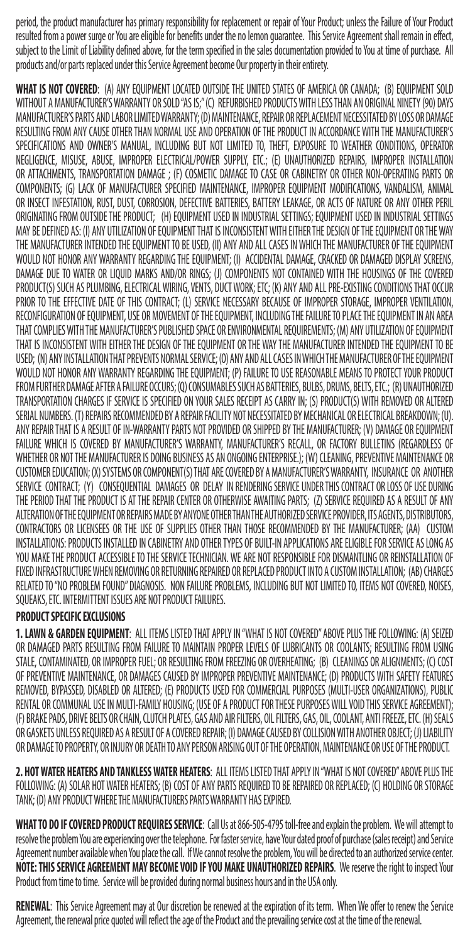period, the product manufacturer has primary responsibility for replacement or repair of Your Product; unless the Failure of Your Product resulted from a power surge or You are eligible for benefits under the no lemon guarantee. This Service Agreement shall remain in effect, subject to the Limit of Liability defined above, for the term specified in the sales documentation provided to You at time of purchase. All products and/or parts replaced under this Service Agreement become Our property in their entirety.

**WHAT IS NOT COVERED**: (A) ANY EQUIPMENT LOCATED OUTSIDE THE UNITED STATES OF AMERICA OR CANADA; (B) EQUIPMENT SOLD WITHOUT A MANUFACTURER'S WARRANTY OR SOLD "AS IS;" (C) REFURBISHED PRODUCTS WITH LESS THAN AN ORIGINAL NINETY (90) DAYS MANUFACTURER'S PARTS AND LABOR LIMITED WARRANTY; (D) MAINTENANCE, REPAIR OR REPLACEMENT NECESSITATED BY LOSS OR DAMAGE RESULTING FROM ANY CAUSE OTHER THAN NORMAL USE AND OPERATION OF THE PRODUCT IN ACCORDANCE WITH THE MANUFACTURER'S SPECIFICATIONS AND OWNER'S MANUAL, INCLUDING BUT NOT LIMITED TO, THEFT, EXPOSURE TO WEATHER CONDITIONS, OPERATOR NEGLIGENCE, MISUSE, ABUSE, IMPROPER ELECTRICAL/POWER SUPPLY, ETC.; (E) UNAUTHORIZED REPAIRS, IMPROPER INSTALLATION OR ATTACHMENTS, TRANSPORTATION DAMAGE ; (F) COSMETIC DAMAGE TO CASE OR CABINETRY OR OTHER NON-OPERATING PARTS OR COMPONENTS; (G) LACK OF MANUFACTURER SPECIFIED MAINTENANCE, IMPROPER EQUIPMENT MODIFICATIONS, VANDALISM, ANIMAL OR INSECT INFESTATION, RUST, DUST, CORROSION, DEFECTIVE BATTERIES, BATTERY LEAKAGE, OR ACTS OF NATURE OR ANY OTHER PERIL ORIGINATING FROM OUTSIDE THE PRODUCT; (H) EQUIPMENT USED IN INDUSTRIAL SETTINGS; EQUIPMENT USED IN INDUSTRIAL SETTINGS MAY BE DEFINED AS: (I) ANY UTILIZATION OF EQUIPMENT THAT IS INCONSISTENT WITH EITHER THE DESIGN OF THE EQUIPMENT OR THE WAY THE MANUFACTURER INTENDED THE EQUIPMENT TO BE USED, (II) ANY AND ALL CASES IN WHICH THE MANUFACTURER OF THE EQUIPMENT WOULD NOT HONOR ANY WARRANTY REGARDING THE EQUIPMENT; (I) ACCIDENTAL DAMAGE, CRACKED OR DAMAGED DISPLAY SCREENS, DAMAGE DUE TO WATER OR LIQUID MARKS AND/OR RINGS; (J) COMPONENTS NOT CONTAINED WITH THE HOUSINGS OF THE COVERED PRODUCT(S) SUCH AS PLUMBING, ELECTRICAL WIRING, VENTS, DUCT WORK; ETC; (K) ANY AND ALL PRE-EXISTING CONDITIONS THAT OCCUR PRIOR TO THE EFFECTIVE DATE OF THIS CONTRACT; (L) SERVICE NECESSARY BECAUSE OF IMPROPER STORAGE, IMPROPER VENTILATION, RECONFIGURATION OF EQUIPMENT, USE OR MOVEMENT OF THE EQUIPMENT, INCLUDING THE FAILURE TO PLACE THE EQUIPMENT IN AN AREA THAT COMPLIES WITH THE MANUFACTURER'S PUBLISHED SPACE OR ENVIRONMENTAL REQUIREMENTS; (M) ANY UTILIZATION OF EQUIPMENT THAT IS INCONSISTENT WITH EITHER THE DESIGN OF THE EQUIPMENT OR THE WAY THE MANUFACTURER INTENDED THE EQUIPMENT TO BE USED; (N) ANY INSTALLATION THAT PREVENTS NORMAL SERVICE; (O) ANY AND ALL CASES IN WHICH THE MANUFACTURER OF THE EQUIPMENT WOULD NOT HONOR ANY WARRANTY REGARDING THE EQUIPMENT; (P) FAILURE TO USE REASONABLE MEANS TO PROTECT YOUR PRODUCT FROM FURTHER DAMAGE AFTER A FAILURE OCCURS; (Q) CONSUMABLES SUCH AS BATTERIES, BULBS, DRUMS, BELTS, ETC.; (R) UNAUTHORIZED TRANSPORTATION CHARGES IF SERVICE IS SPECIFIED ON YOUR SALES RECEIPT AS CARRY IN; (S) PRODUCT(S) WITH REMOVED OR ALTERED SERIAL NUMBERS. (T) REPAIRS RECOMMENDED BY A REPAIR FACILITY NOT NECESSITATED BY MECHANICAL OR ELECTRICAL BREAKDOWN; (U). ANY REPAIR THAT IS A RESULT OF IN-WARRANTY PARTS NOT PROVIDED OR SHIPPED BY THE MANUFACTURER; (V) DAMAGE OR EQUIPMENT FAILURE WHICH IS COVERED BY MANUFACTURER'S WARRANTY, MANUFACTURER'S RECALL, OR FACTORY BULLETINS (REGARDLESS OF WHETHER OR NOT THE MANUFACTURER IS DOING BUSINESS AS AN ONGOING ENTERPRISE.); (W) CLEANING, PREVENTIVE MAINTENANCE OR CUSTOMER EDUCATION; (X) SYSTEMS OR COMPONENT(S) THAT ARE COVERED BY A MANUFACTURER'S WARRANTY, INSURANCE OR ANOTHER SERVICE CONTRACT; (Y) CONSEQUENTIAL DAMAGES OR DELAY IN RENDERING SERVICE UNDER THIS CONTRACT OR LOSS OF USE DURING THE PERIOD THAT THE PRODUCT IS AT THE REPAIR CENTER OR OTHERWISE AWAITING PARTS; (Z) SERVICE REQUIRED AS A RESULT OF ANY ALTERATION OF THE EQUIPMENT OR REPAIRS MADE BY ANYONE OTHER THAN THE AUTHORIZED SERVICE PROVIDER, ITS AGENTS, DISTRIBUTORS, CONTRACTORS OR LICENSEES OR THE USE OF SUPPLIES OTHER THAN THOSE RECOMMENDED BY THE MANUFACTURER; (AA) CUSTOM INSTALLATIONS: PRODUCTS INSTALLED IN CABINETRY AND OTHER TYPES OF BUILT-IN APPLICATIONS ARE ELIGIBLE FOR SERVICE AS LONG AS YOU MAKE THE PRODUCT ACCESSIBLE TO THE SERVICE TECHNICIAN. WE ARE NOT RESPONSIBLE FOR DISMANTLING OR REINSTALLATION OF FIXED INFRASTRUCTURE WHEN REMOVING OR RETURNING REPAIRED OR REPLACED PRODUCT INTO A CUSTOM INSTALLATION; (AB) CHARGES RELATED TO "NO PROBLEM FOUND" DIAGNOSIS. NON FAILURE PROBLEMS, INCLUDING BUT NOT LIMITED TO, ITEMS NOT COVERED, NOISES, SQUEAKS, ETC. INTERMITTENT ISSUES ARE NOT PRODUCT FAILURES.

## **PRODUCT SPECIFIC EXCLUSIONS**

**1. LAWN & GARDEN EQUIPMENT**: ALL ITEMS LISTED THAT APPLY IN "WHAT IS NOT COVERED" ABOVE PLUS THE FOLLOWING: (A) SEIZED OR DAMAGED PARTS RESULTING FROM FAILURE TO MAINTAIN PROPER LEVELS OF LUBRICANTS OR COOLANTS; RESULTING FROM USING STALE, CONTAMINATED, OR IMPROPER FUEL; OR RESULTING FROM FREEZING OR OVERHEATING; (B) CLEANINGS OR ALIGNMENTS; (C) COST OF PREVENTIVE MAINTENANCE, OR DAMAGES CAUSED BY IMPROPER PREVENTIVE MAINTENANCE; (D) PRODUCTS WITH SAFETY FEATURES REMOVED, BYPASSED, DISABLED OR ALTERED; (E) PRODUCTS USED FOR COMMERCIAL PURPOSES (MULTI-USER ORGANIZATIONS), PUBLIC RENTAL OR COMMUNAL USE IN MULTI-FAMILY HOUSING; (USE OF A PRODUCT FOR THESE PURPOSES WILL VOID THIS SERVICE AGREEMENT); (F) BRAKE PADS, DRIVE BELTS OR CHAIN, CLUTCH PLATES, GAS AND AIR FILTERS, OIL FILTERS, GAS, OIL, COOLANT, ANTI FREEZE, ETC. (H) SEALS OR GASKETS UNLESS REQUIRED AS A RESULT OF A COVERED REPAIR; (I) DAMAGE CAUSED BY COLLISION WITH ANOTHER OBJECT; (J) LIABILITY OR DAMAGE TO PROPERTY, OR INJURY OR DEATH TO ANY PERSON ARISING OUT OF THE OPERATION, MAINTENANCE OR USE OF THE PRODUCT.

**2. HOT WATER HEATERS AND TANKLESS WATER HEATERS**: ALL ITEMS LISTED THAT APPLY IN "WHAT IS NOT COVERED" ABOVE PLUS THE FOLLOWING: (A) SOLAR HOT WATER HEATERS; (B) COST OF ANY PARTS REQUIRED TO BE REPAIRED OR REPLACED; (C) HOLDING OR STORAGE TANK; (D) ANY PRODUCT WHERE THE MANUFACTURERS PARTS WARRANTY HAS EXPIRED.

**WHAT TO DO IF COVERED PRODUCT REQUIRES SERVICE**: Call Us at 866-505-4795 toll-free and explain the problem. We will attempt to resolve the problem You are experiencing over the telephone. For faster service, have Your dated proof of purchase (sales receipt) and Service Agreement number available when You place the call. If We cannot resolve the problem, You will be directed to an authorized service center. **NOTE: THIS SERVICE AGREEMENT MAY BECOME VOID IF YOU MAKE UNAUTHORIZED REPAIRS**. We reserve the right to inspect Your Product from time to time. Service will be provided during normal business hours and in the USA only.

**RENEWAL**: This Service Agreement may at Our discretion be renewed at the expiration of its term. When We offer to renew the Service Agreement, the renewal price quoted will reflect the age of the Product and the prevailing service cost at the time of the renewal.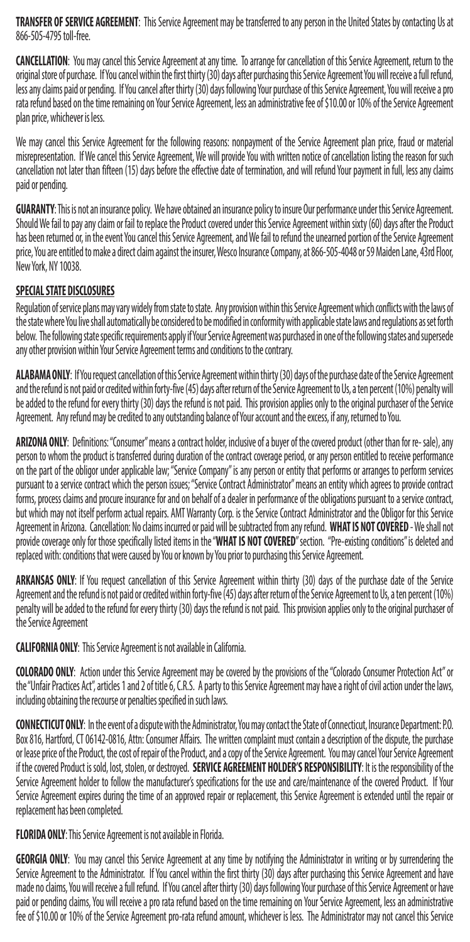**TRANSFER OF SERVICE AGREEMENT**: This Service Agreement may be transferred to any person in the United States by contacting Us at 866-505-4795 toll-free.

**CANCELLATION**: You may cancel this Service Agreement at any time. To arrange for cancellation of this Service Agreement, return to the original store of purchase. If You cancel within the first thirty (30) days after purchasing this Service Agreement You will receive a full refund, less any claims paid or pending. If You cancel after thirty (30) days following Your purchase of this Service Agreement, You will receive a pro rata refund based on the time remaining on Your Service Agreement, less an administrative fee of \$10.00 or 10% of the Service Agreement plan price, whichever is less.

We may cancel this Service Agreement for the following reasons: nonpayment of the Service Agreement plan price, fraud or material misrepresentation. If We cancel this Service Agreement, We will provide You with written notice of cancellation listing the reason for such cancellation not later than fifteen (15) days before the effective date of termination, and will refund Your payment in full, less any claims paid or pending.

**GUARANTY**: This is not an insurance policy. We have obtained an insurance policy to insure Our performance under this Service Agreement. Should We fail to pay any claim or fail to replace the Product covered under this Service Agreement within sixty (60) days after the Product has been returned or, in the event You cancel this Service Agreement, and We fail to refund the unearned portion of the Service Agreement price, You are entitled to make a direct claim against the insurer, Wesco Insurance Company, at 866-505-4048 or 59 Maiden Lane, 43rd Floor, New York, NY 10038.

## **SPECIAL STATE DISCLOSURES**

Regulation of service plans may vary widely from state to state. Any provision within this Service Agreement which conflicts with the laws of the state where You live shall automatically be considered to be modified in conformity with applicable state laws and regulations as set forth below. The following state specific requirements apply if Your Service Agreement was purchased in one of the following states and supersede any other provision within Your Service Agreement terms and conditions to the contrary.

**ALABAMA ONLY**: If You request cancellation of this Service Agreement within thirty (30) days of the purchase date of the Service Agreement and the refund is not paid or credited within forty-five (45) days after return of the Service Agreement to Us, a ten percent (10%) penalty will be added to the refund for every thirty (30) days the refund is not paid. This provision applies only to the original purchaser of the Service Agreement. Any refund may be credited to any outstanding balance of Your account and the excess, if any, returned to You.

**ARIZONA ONLY**: Definitions: "Consumer" means a contract holder, inclusive of a buyer of the covered product (other than for re- sale), any person to whom the product is transferred during duration of the contract coverage period, or any person entitled to receive performance on the part of the obligor under applicable law; "Service Company" is any person or entity that performs or arranges to perform services pursuant to a service contract which the person issues; "Service Contract Administrator" means an entity which agrees to provide contract forms, process claims and procure insurance for and on behalf of a dealer in performance of the obligations pursuant to a service contract, but which may not itself perform actual repairs. AMT Warranty Corp. is the Service Contract Administrator and the Obligor for this Service Agreement in Arizona. Cancellation: No claims incurred or paid will be subtracted from any refund. **WHAT IS NOT COVERED** - We shall not provide coverage only for those specifically listed items in the "**WHAT IS NOT COVERED**" section. "Pre-existing conditions" is deleted and replaced with: conditions that were caused by You or known by You prior to purchasing this Service Agreement.

**ARKANSAS ONLY**: If You request cancellation of this Service Agreement within thirty (30) days of the purchase date of the Service Agreement and the refund is not paid or credited within forty-five (45) days after return of the Service Agreement to Us, a ten percent (10%) penalty will be added to the refund for every thirty (30) days the refund is not paid. This provision applies only to the original purchaser of the Service Agreement

**CALIFORNIA ONLY**: This Service Agreement is not available in California.

**COLORADO ONLY**: Action under this Service Agreement may be covered by the provisions of the "Colorado Consumer Protection Act" or the "Unfair Practices Act", articles 1 and 2 of title 6, C.R.S. A party to this Service Agreement may have a right of civil action under the laws, including obtaining the recourse or penalties specified in such laws.

**CONNECTICUT ONLY**: In the event of a dispute with the Administrator, You may contact the State of Connecticut, Insurance Department: P.O. Box 816, Hartford, CT 06142-0816, Attn: Consumer Affairs. The written complaint must contain a description of the dispute, the purchase or lease price of the Product, the cost of repair of the Product, and a copy of the Service Agreement. You may cancel Your Service Agreement if the covered Product is sold, lost, stolen, or destroyed. **SERVICE AGREEMENT HOLDER'S RESPONSIBILITY**: It is the responsibility of the Service Agreement holder to follow the manufacturer's specifications for the use and care/maintenance of the covered Product. If Your Service Agreement expires during the time of an approved repair or replacement, this Service Agreement is extended until the repair or replacement has been completed.

**FLORIDA ONLY**: This Service Agreement is not available in Florida.

**GEORGIA ONLY**: You may cancel this Service Agreement at any time by notifying the Administrator in writing or by surrendering the Service Agreement to the Administrator. If You cancel within the first thirty (30) days after purchasing this Service Agreement and have made no claims, You will receive a full refund. If You cancel after thirty (30) days following Your purchase of this Service Agreement or have paid or pending claims, You will receive a pro rata refund based on the time remaining on Your Service Agreement, less an administrative fee of \$10.00 or 10% of the Service Agreement pro-rata refund amount, whichever is less. The Administrator may not cancel this Service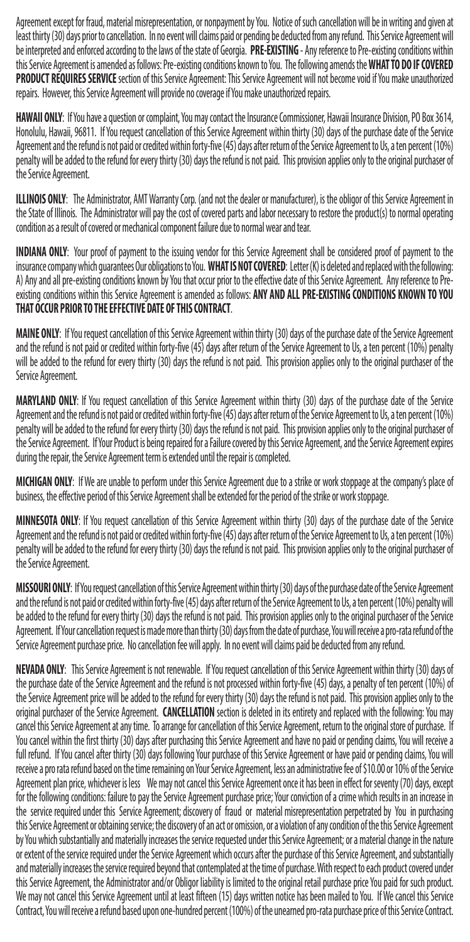Agreement except for fraud, material misrepresentation, or nonpayment by You. Notice of such cancellation will be in writing and given at least thirty (30) days prior to cancellation. In no event will claims paid or pending be deducted from any refund. This Service Agreement will be interpreted and enforced according to the laws of the state of Georgia. **PRE-EXISTING** - Any reference to Pre-existing conditions within this Service Agreement is amended as follows: Pre-existing conditions known to You. The following amends the **WHAT TO DO IF COVERED**  PRODUCT REQUIRES SERVICE section of this Service Agreement: This Service Agreement will not become void if You make unauthorized repairs. However, this Service Agreement will provide no coverage if You make unauthorized repairs.

**HAWAII ONLY**: If You have a question or complaint, You may contact the Insurance Commissioner, Hawaii Insurance Division, PO Box 3614, Honolulu, Hawaii, 96811. If You request cancellation of this Service Agreement within thirty (30) days of the purchase date of the Service Agreement and the refund is not paid or credited within forty-five (45) days after return of the Service Agreement to Us, a ten percent (10%) penalty will be added to the refund for every thirty (30) days the refund is not paid. This provision applies only to the original purchaser of the Service Agreement.

**ILLINOIS ONLY**: The Administrator, AMT Warranty Corp. (and not the dealer or manufacturer), is the obligor of this Service Agreement in the State of Illinois. The Administrator will pay the cost of covered parts and labor necessary to restore the product(s) to normal operating condition as a result of covered or mechanical component failure due to normal wear and tear.

**INDIANA ONLY**: Your proof of payment to the issuing vendor for this Service Agreement shall be considered proof of payment to the insurance company which guarantees Our obligations to You. **WHAT IS NOT COVERED**: Letter (K) is deleted and replaced with the following: A) Any and all pre-existing conditions known by You that occur prior to the effective date of this Service Agreement. Any reference to Preexisting conditions within this Service Agreement is amended as follows: **ANY AND ALL PRE-EXISTING CONDITIONS KNOWN TO YOU THAT OCCUR PRIOR TO THE EFFECTIVE DATE OF THIS CONTRACT**.

**MAINE ONLY**: If You request cancellation of this Service Agreement within thirty (30) days of the purchase date of the Service Agreement and the refund is not paid or credited within forty-five (45) days after return of the Service Agreement to Us, a ten percent (10%) penalty will be added to the refund for every thirty (30) days the refund is not paid. This provision applies only to the original purchaser of the Service Agreement.

**MARYLAND ONLY**: If You request cancellation of this Service Agreement within thirty (30) days of the purchase date of the Service Agreement and the refund is not paid or credited within forty-five (45) days after return of the Service Agreement to Us, a ten percent (10%) penalty will be added to the refund for every thirty (30) days the refund is not paid. This provision applies only to the original purchaser of the Service Agreement. If Your Product is being repaired for a Failure covered by this Service Agreement, and the Service Agreement expires during the repair, the Service Agreement term is extended until the repair is completed.

**MICHIGAN ONLY**: If We are unable to perform under this Service Agreement due to a strike or work stoppage at the company's place of business, the effective period of this Service Agreement shall be extended for the period of the strike or work stoppage.

**MINNESOTA ONLY**: If You request cancellation of this Service Agreement within thirty (30) days of the purchase date of the Service Agreement and the refund is not paid or credited within forty-five (45) days after return of the Service Agreement to Us, a ten percent (10%) penalty will be added to the refund for every thirty (30) days the refund is not paid. This provision applies only to the original purchaser of the Service Agreement.

**MISSOURI ONLY**: If You request cancellation of this Service Agreement within thirty (30) days of the purchase date of the Service Agreement and the refund is not paid or credited within forty-five (45) days after return of the Service Agreement to Us, a ten percent (10%) penalty will be added to the refund for every thirty (30) days the refund is not paid. This provision applies only to the original purchaser of the Service Agreement. If Your cancellation request is made more than thirty (30) days from the date of purchase, You will receive a pro-rata refund of the Service Agreement purchase price. No cancellation fee will apply. In no event will claims paid be deducted from any refund.

**NEVADA ONLY**: This Service Agreement is not renewable. If You request cancellation of this Service Agreement within thirty (30) days of the purchase date of the Service Agreement and the refund is not processed within forty-five (45) days, a penalty of ten percent (10%) of the Service Agreement price will be added to the refund for every thirty (30) days the refund is not paid. This provision applies only to the original purchaser of the Service Agreement. **CANCELLATION** section is deleted in its entirety and replaced with the following: You may cancel this Service Agreement at any time. To arrange for cancellation of this Service Agreement, return to the original store of purchase. If You cancel within the first thirty (30) days after purchasing this Service Agreement and have no paid or pending claims, You will receive a full refund. If You cancel after thirty (30) days following Your purchase of this Service Agreement or have paid or pending claims, You will receive a pro rata refund based on the time remaining on Your Service Agreement, less an administrative fee of \$10.00 or 10% of the Service Agreement plan price, whichever is less We may not cancel this Service Agreement once it has been in effect for seventy (70) days, except for the following conditions: failure to pay the Service Agreement purchase price; Your conviction of a crime which results in an increase in the service required under this Service Agreement; discovery of fraud or material misrepresentation perpetrated by You in purchasing this Service Agreement or obtaining service; the discovery of an act or omission, or a violation of any condition of the this Service Agreement by You which substantially and materially increases the service requested under this Service Agreement; or a material change in the nature or extent of the service required under the Service Agreement which occurs after the purchase of this Service Agreement, and substantially and materially increases the service required beyond that contemplated at the time of purchase. With respect to each product covered under this Service Agreement, the Administrator and/or Obligor liability is limited to the original retail purchase price You paid for such product. We may not cancel this Service Agreement until at least fifteen (15) days written notice has been mailed to You. If We cancel this Service Contract, You will receive a refund based upon one-hundred percent (100%) of the unearned pro-rata purchase price of this Service Contract.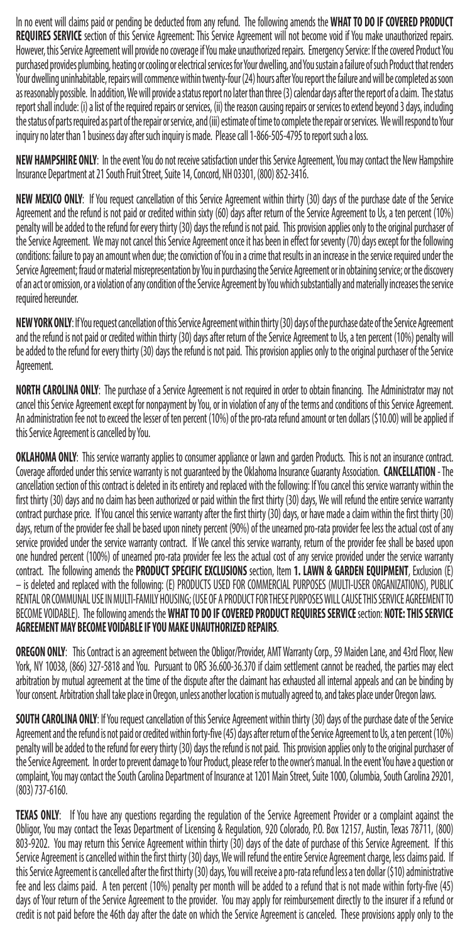In no event will claims paid or pending be deducted from any refund. The following amends the **WHAT TO DO IF COVERED PRODUCT REQUIRES SERVICE** section of this Service Agreement: This Service Agreement will not become void if You make unauthorized repairs. However, this Service Agreement will provide no coverage if You make unauthorized repairs. Emergency Service: If the covered Product You purchased provides plumbing, heating or cooling or electrical services for Your dwelling, and You sustain a failure of such Product that renders Your dwelling uninhabitable, repairs will commence within twenty-four (24) hours after You report the failure and will be completed as soon as reasonably possible. In addition, We will provide a status report no later than three (3) calendar days after the report of a claim. The status report shall include: (i) a list of the required repairs or services, (ii) the reason causing repairs or services to extend beyond 3 days, including the status of parts required as part of the repair or service, and (iii) estimate of time to complete the repair or services. We will respond to Your inquiry no later than 1 business day after such inquiry is made. Please call 1-866-505-4795 to report such a loss.

**NEW HAMPSHIRE ONLY**: In the event You do not receive satisfaction under this Service Agreement, You may contact the New Hampshire Insurance Department at 21 South Fruit Street, Suite 14, Concord, NH 03301, (800) 852-3416.

**NEW MEXICO ONLY**: If You request cancellation of this Service Agreement within thirty (30) days of the purchase date of the Service Agreement and the refund is not paid or credited within sixty (60) days after return of the Service Agreement to Us, a ten percent (10%) penalty will be added to the refund for every thirty (30) days the refund is not paid. This provision applies only to the original purchaser of the Service Agreement. We may not cancel this Service Agreement once it has been in effect for seventy (70) days except for the following conditions: failure to pay an amount when due; the conviction of You in a crime that results in an increase in the service required under the Service Agreement; fraud or material misrepresentation by You in purchasing the Service Agreement or in obtaining service; or the discovery of an act or omission, or a violation of any condition of the Service Agreement by You which substantially and materially increases the service required hereunder.

**NEW YORK ONLY**: If You request cancellation of this Service Agreement within thirty (30) days of the purchase date of the Service Agreement and the refund is not paid or credited within thirty (30) days after return of the Service Agreement to Us, a ten percent (10%) penalty will be added to the refund for every thirty (30) days the refund is not paid. This provision applies only to the original purchaser of the Service Agreement.

**NORTH CAROLINA ONLY**: The purchase of a Service Agreement is not required in order to obtain financing. The Administrator may not cancel this Service Agreement except for nonpayment by You, or in violation of any of the terms and conditions of this Service Agreement. An administration fee not to exceed the lesser of ten percent (10%) of the pro-rata refund amount or ten dollars (\$10.00) will be applied if this Service Agreement is cancelled by You.

**OKLAHOMA ONLY**: This service warranty applies to consumer appliance or lawn and garden Products. This is not an insurance contract. Coverage afforded under this service warranty is not guaranteed by the Oklahoma Insurance Guaranty Association. **CANCELLATION** - The cancellation section of this contract is deleted in its entirety and replaced with the following: If You cancel this service warranty within the first thirty (30) days and no claim has been authorized or paid within the first thirty (30) days, We will refund the entire service warranty contract purchase price. If You cancel this service warranty after the first thirty (30) days, or have made a claim within the first thirty (30) days, return of the provider fee shall be based upon ninety percent (90%) of the unearned pro-rata provider fee less the actual cost of any service provided under the service warranty contract. If We cancel this service warranty, return of the provider fee shall be based upon one hundred percent (100%) of unearned pro-rata provider fee less the actual cost of any service provided under the service warranty contract. The following amends the **PRODUCT SPECIFIC EXCLUSIONS** section, Item **1. LAWN & GARDEN EQUIPMENT**, Exclusion (E) – is deleted and replaced with the following: (E) PRODUCTS USED FOR COMMERCIAL PURPOSES (MULTI-USER ORGANIZATIONS), PUBLIC RENTAL OR COMMUNAL USE IN MULTI-FAMILY HOUSING; (USE OF A PRODUCT FOR THESE PURPOSES WILL CAUSE THIS SERVICE AGREEMENT TO BECOME VOIDABLE). The following amends the **WHAT TO DO IF COVERED PRODUCT REQUIRES SERVICE** section: **NOTE: THIS SERVICE AGREEMENT MAY BECOME VOIDABLE IF YOU MAKE UNAUTHORIZED REPAIRS**.

**OREGON ONLY**: This Contract is an agreement between the Obligor/Provider, AMT Warranty Corp., 59 Maiden Lane, and 43rd Floor, New York, NY 10038, (866) 327-5818 and You. Pursuant to ORS 36.600-36.370 if claim settlement cannot be reached, the parties may elect arbitration by mutual agreement at the time of the dispute after the claimant has exhausted all internal appeals and can be binding by Your consent. Arbitration shall take place in Oregon, unless another location is mutually agreed to, and takes place under Oregon laws.

**SOUTH CAROLINA ONLY**: If You request cancellation of this Service Agreement within thirty (30) days of the purchase date of the Service Agreement and the refund is not paid or credited within forty-five (45) days after return of the Service Agreement to Us, a ten percent (10%) penalty will be added to the refund for every thirty (30) days the refund is not paid. This provision applies only to the original purchaser of the Service Agreement. In order to prevent damage to Your Product, please refer to the owner's manual. In the event You have a question or complaint, You may contact the South Carolina Department of Insurance at 1201 Main Street, Suite 1000, Columbia, South Carolina 29201, (803) 737-6160.

**TEXAS ONLY**: If You have any questions regarding the regulation of the Service Agreement Provider or a complaint against the Obligor, You may contact the Texas Department of Licensing & Regulation, 920 Colorado, P.O. Box 12157, Austin, Texas 78711, (800) 803-9202. You may return this Service Agreement within thirty (30) days of the date of purchase of this Service Agreement. If this Service Agreement is cancelled within the first thirty (30) days, We will refund the entire Service Agreement charge, less claims paid. If this Service Agreement is cancelled after the first thirty (30) days, You will receive a pro-rata refund less a ten dollar (\$10) administrative fee and less claims paid. A ten percent (10%) penalty per month will be added to a refund that is not made within forty-five (45) days of Your return of the Service Agreement to the provider. You may apply for reimbursement directly to the insurer if a refund or credit is not paid before the 46th day after the date on which the Service Agreement is canceled. These provisions apply only to the